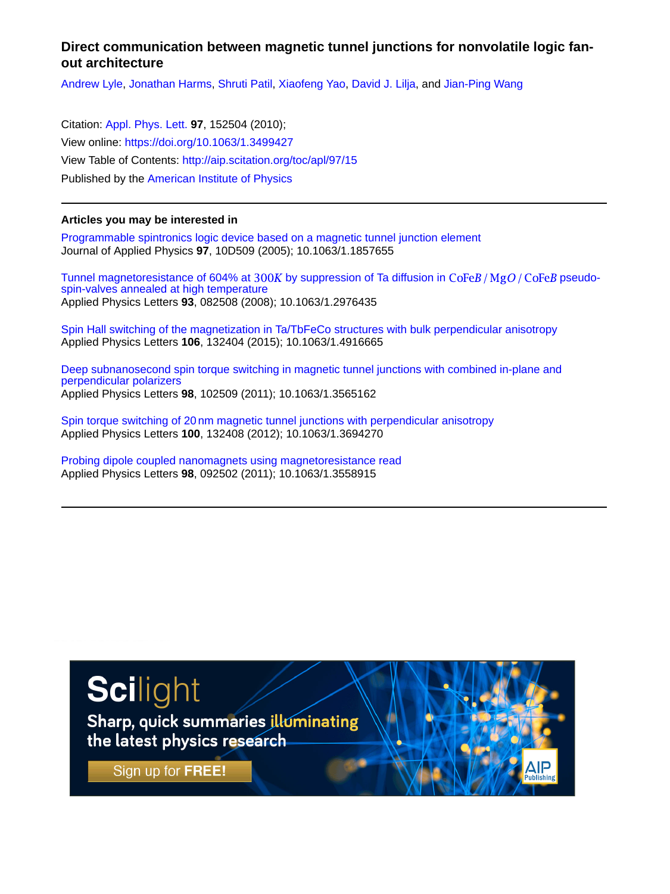## **Direct communication between magnetic tunnel junctions for nonvolatile logic fanout architecture**

[Andrew Lyle,](http://aip.scitation.org/author/Lyle%2C+Andrew) [Jonathan Harms,](http://aip.scitation.org/author/Harms%2C+Jonathan) [Shruti Patil,](http://aip.scitation.org/author/Patil%2C+Shruti) [Xiaofeng Yao](http://aip.scitation.org/author/Yao%2C+Xiaofeng), [David J. Lilja,](http://aip.scitation.org/author/Lilja%2C+David+J) and [Jian-Ping Wang](http://aip.scitation.org/author/Wang%2C+Jian-Ping)

Citation: [Appl. Phys. Lett.](/loi/apl) **97**, 152504 (2010); View online: <https://doi.org/10.1063/1.3499427> View Table of Contents: <http://aip.scitation.org/toc/apl/97/15> Published by the [American Institute of Physics](http://aip.scitation.org/publisher/)

## **Articles you may be interested in**

[Programmable spintronics logic device based on a magnetic tunnel junction element](http://aip.scitation.org/doi/abs/10.1063/1.1857655) Journal of Applied Physics **97**, 10D509 (2005); 10.1063/1.1857655

Tunnel magnetoresistance of 604% at 300K by suppression of Ta diffusion in  $\text{CoFe}B/\text{MgO}/\text{CoFe}B$  pseudo[spin-valves annealed at high temperature](http://aip.scitation.org/doi/abs/10.1063/1.2976435) Applied Physics Letters **93**, 082508 (2008); 10.1063/1.2976435

[Spin Hall switching of the magnetization in Ta/TbFeCo structures with bulk perpendicular anisotropy](http://aip.scitation.org/doi/abs/10.1063/1.4916665) Applied Physics Letters **106**, 132404 (2015); 10.1063/1.4916665

[Deep subnanosecond spin torque switching in magnetic tunnel junctions with combined in-plane and](http://aip.scitation.org/doi/abs/10.1063/1.3565162) [perpendicular polarizers](http://aip.scitation.org/doi/abs/10.1063/1.3565162) Applied Physics Letters **98**, 102509 (2011); 10.1063/1.3565162

[Spin torque switching of 20nm magnetic tunnel junctions with perpendicular anisotropy](http://aip.scitation.org/doi/abs/10.1063/1.3694270) Applied Physics Letters **100**, 132408 (2012); 10.1063/1.3694270

[Probing dipole coupled nanomagnets using magnetoresistance read](http://aip.scitation.org/doi/abs/10.1063/1.3558915) Applied Physics Letters **98**, 092502 (2011); 10.1063/1.3558915

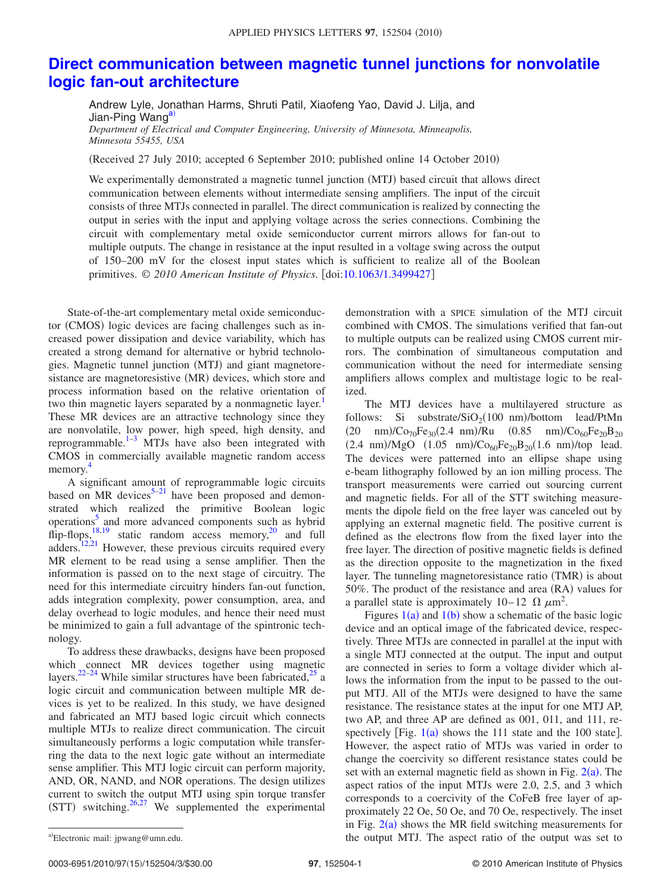## **[Direct communication between magnetic tunnel junctions for nonvolatile](http://dx.doi.org/10.1063/1.3499427) [logic fan-out architecture](http://dx.doi.org/10.1063/1.3499427)**

Andrew Lyle, Jonathan Harms, Shruti Patil, Xiaofeng Yao, David J. Lilja, and Jian-Ping Wang<sup>a)</sup> *Department of Electrical and Computer Engineering, University of Minnesota, Minneapolis,*

*Minnesota 55455, USA*

(Received 27 July 2010; accepted 6 September 2010; published online 14 October 2010)

We experimentally demonstrated a magnetic tunnel junction (MTJ) based circuit that allows direct communication between elements without intermediate sensing amplifiers. The input of the circuit consists of three MTJs connected in parallel. The direct communication is realized by connecting the output in series with the input and applying voltage across the series connections. Combining the circuit with complementary metal oxide semiconductor current mirrors allows for fan-out to multiple outputs. The change in resistance at the input resulted in a voltage swing across the output of 150–200 mV for the closest input states which is sufficient to realize all of the Boolean primitives. © 2010 American Institute of Physics. [doi[:10.1063/1.3499427](http://dx.doi.org/10.1063/1.3499427)]

State-of-the-art complementary metal oxide semiconductor (CMOS) logic devices are facing challenges such as increased power dissipation and device variability, which has created a strong demand for alternative or hybrid technologies. Magnetic tunnel junction (MTJ) and giant magnetoresistance are magnetoresistive (MR) devices, which store and process information based on the relative orientation of two thin magnetic layers separated by a nonmagnetic layer.<sup>1</sup> These MR devices are an attractive technology since they are nonvolatile, low power, high speed, high density, and reprogrammable. $1-3$  MTJs have also been integrated with CMOS in commercially available magnetic random access memory. [4](#page-3-2)

A significant amount of reprogrammable logic circuits based on MR devices $5-21$  have been proposed and demonstrated which realized the primitive Boolean logic operations<sup>5</sup> and more advanced components such as hybrid flip-flops,  $^{18,19}$  $^{18,19}$  $^{18,19}$  static random access memory,<sup>20</sup> and full adders.<sup>12[,21](#page-3-4)</sup> However, these previous circuits required every MR element to be read using a sense amplifier. Then the information is passed on to the next stage of circuitry. The need for this intermediate circuitry hinders fan-out function, adds integration complexity, power consumption, area, and delay overhead to logic modules, and hence their need must be minimized to gain a full advantage of the spintronic technology.

To address these drawbacks, designs have been proposed which connect MR devices together using magnetic layers. $2^{2-24}$  $2^{2-24}$  $2^{2-24}$  While similar structures have been fabricated, $2^5$  a logic circuit and communication between multiple MR devices is yet to be realized. In this study, we have designed and fabricated an MTJ based logic circuit which connects multiple MTJs to realize direct communication. The circuit simultaneously performs a logic computation while transferring the data to the next logic gate without an intermediate sense amplifier. This MTJ logic circuit can perform majority, AND, OR, NAND, and NOR operations. The design utilizes current to switch the output MTJ using spin torque transfer  $(STT)$  switching.<sup>26,[27](#page-3-13)</sup> We supplemented the experimental

demonstration with a SPICE simulation of the MTJ circuit combined with CMOS. The simulations verified that fan-out to multiple outputs can be realized using CMOS current mirrors. The combination of simultaneous computation and communication without the need for intermediate sensing amplifiers allows complex and multistage logic to be realized.

The MTJ devices have a multilayered structure as follows: Si substrate/ $\text{SiO}_2(100 \text{ nm})$ /bottom lead/PtMn  $(20 \text{ nm})/\text{Co}_{70}\text{Fe}_{30}(2.4 \text{ nm})/\text{Ru}$   $(0.85 \text{ nm})/\text{Co}_{60}\text{Fe}_{20}\text{B}_{20}$  $(2.4 \text{ nm})/\text{MgO}$   $(1.05 \text{ nm})/\text{Co}_{60}\text{Fe}_{20}\text{B}_{20}(1.6 \text{ nm})/\text{top}$  lead. The devices were patterned into an ellipse shape using e-beam lithography followed by an ion milling process. The transport measurements were carried out sourcing current and magnetic fields. For all of the STT switching measurements the dipole field on the free layer was canceled out by applying an external magnetic field. The positive current is defined as the electrons flow from the fixed layer into the free layer. The direction of positive magnetic fields is defined as the direction opposite to the magnetization in the fixed layer. The tunneling magnetoresistance ratio (TMR) is about 50%. The product of the resistance and area (RA) values for a parallel state is approximately  $10-12 \Omega \mu m^2$ .

Figures  $1(a)$  $1(a)$  and  $1(b)$  show a schematic of the basic logic device and an optical image of the fabricated device, respectively. Three MTJs are connected in parallel at the input with a single MTJ connected at the output. The input and output are connected in series to form a voltage divider which allows the information from the input to be passed to the output MTJ. All of the MTJs were designed to have the same resistance. The resistance states at the input for one MTJ AP, two AP, and three AP are defined as 001, 011, and 111, respectively [Fig.  $1(a)$  $1(a)$  shows the 111 state and the 100 state]. However, the aspect ratio of MTJs was varied in order to change the coercivity so different resistance states could be set with an external magnetic field as shown in Fig.  $2(a)$  $2(a)$ . The aspect ratios of the input MTJs were 2.0, 2.5, and 3 which corresponds to a coercivity of the CoFeB free layer of approximately 22 Oe, 50 Oe, and 70 Oe, respectively. The inset in Fig.  $2(a)$  $2(a)$  shows the MR field switching measurements for the output MTJ. The aspect ratio of the output was set to

<span id="page-1-0"></span>a)Electronic mail: jpwang@umn.edu.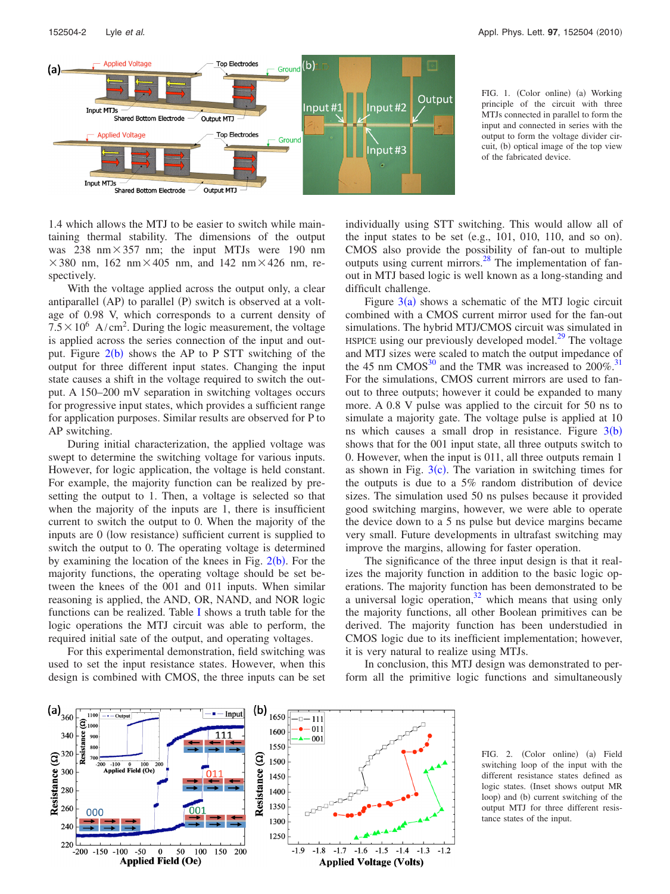<span id="page-2-0"></span>

FIG. 1. (Color online) (a) Working principle of the circuit with three MTJs connected in parallel to form the input and connected in series with the output to form the voltage divider circuit, (b) optical image of the top view of the fabricated device.

1.4 which allows the MTJ to be easier to switch while maintaining thermal stability. The dimensions of the output was 238 nm $\times$ 357 nm; the input MTJs were 190 nm  $\times$ 380 nm, 162 nm $\times$ 405 nm, and 142 nm $\times$ 426 nm, respectively.

With the voltage applied across the output only, a clear antiparallel (AP) to parallel (P) switch is observed at a voltage of 0.98 V, which corresponds to a current density of  $7.5 \times 10^6$  A/cm<sup>2</sup>. During the logic measurement, the voltage is applied across the series connection of the input and output. Figure  $2(b)$  $2(b)$  shows the AP to P STT switching of the output for three different input states. Changing the input state causes a shift in the voltage required to switch the output. A 150–200 mV separation in switching voltages occurs for progressive input states, which provides a sufficient range for application purposes. Similar results are observed for P to AP switching.

During initial characterization, the applied voltage was swept to determine the switching voltage for various inputs. However, for logic application, the voltage is held constant. For example, the majority function can be realized by presetting the output to 1. Then, a voltage is selected so that when the majority of the inputs are 1, there is insufficient current to switch the output to 0. When the majority of the inputs are 0 (low resistance) sufficient current is supplied to switch the output to 0. The operating voltage is determined by examining the location of the knees in Fig.  $2(b)$  $2(b)$ . For the majority functions, the operating voltage should be set between the knees of the 001 and 011 inputs. When similar reasoning is applied, the AND, OR, NAND, and NOR logic functions can be realized. Table [I](#page-3-14) shows a truth table for the logic operations the MTJ circuit was able to perform, the required initial sate of the output, and operating voltages.

<span id="page-2-1"></span>For this experimental demonstration, field switching was used to set the input resistance states. However, when this design is combined with CMOS, the three inputs can be set individually using STT switching. This would allow all of the input states to be set (e.g.,  $101$ ,  $010$ ,  $110$ , and so on). CMOS also provide the possibility of fan-out to multiple outputs using current mirrors[.28](#page-3-15) The implementation of fanout in MTJ based logic is well known as a long-standing and difficult challenge.

Figure  $3(a)$  $3(a)$  shows a schematic of the MTJ logic circuit combined with a CMOS current mirror used for the fan-out simulations. The hybrid MTJ/CMOS circuit was simulated in HSPICE using our previously developed model. $^{29}$  The voltage and MTJ sizes were scaled to match the output impedance of the 45 nm  $CMOS<sup>30</sup>$  and the TMR was increased to  $200\%$ .<sup>31</sup> For the simulations, CMOS current mirrors are used to fanout to three outputs; however it could be expanded to many more. A 0.8 V pulse was applied to the circuit for 50 ns to simulate a majority gate. The voltage pulse is applied at 10 ns which causes a small drop in resistance. Figure  $3(b)$  $3(b)$ shows that for the 001 input state, all three outputs switch to 0. However, when the input is 011, all three outputs remain 1 as shown in Fig.  $3(c)$  $3(c)$ . The variation in switching times for the outputs is due to a 5% random distribution of device sizes. The simulation used 50 ns pulses because it provided good switching margins, however, we were able to operate the device down to a 5 ns pulse but device margins became very small. Future developments in ultrafast switching may improve the margins, allowing for faster operation.

The significance of the three input design is that it realizes the majority function in addition to the basic logic operations. The majority function has been demonstrated to be a universal logic operation, $32$  which means that using only the majority functions, all other Boolean primitives can be derived. The majority function has been understudied in CMOS logic due to its inefficient implementation; however, it is very natural to realize using MTJs.

In conclusion, this MTJ design was demonstrated to perform all the primitive logic functions and simultaneously



FIG. 2. (Color online) (a) Field switching loop of the input with the different resistance states defined as logic states. (Inset shows output MR loop) and (b) current switching of the output MTJ for three different resistance states of the input.